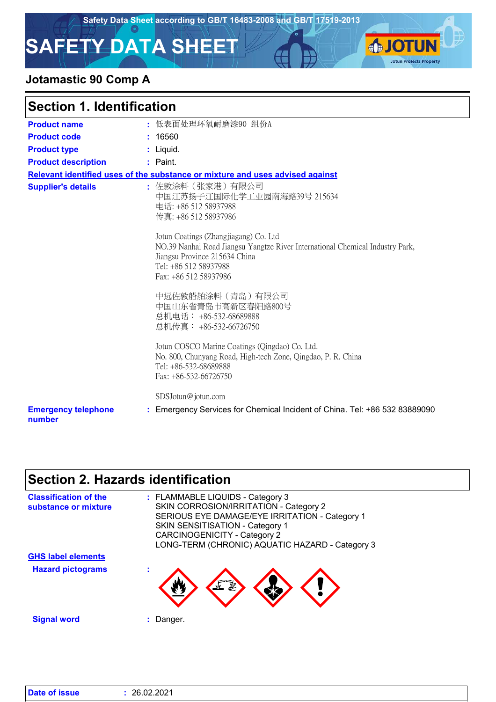**SJOTUN** 

**Jotun Protects Property** 

# **SAFETY DATA SHEET**

### **Jotamastic 90 Comp A**

| <b>Section 1. Identification</b>     |                                                                                                                                                                                                           |  |
|--------------------------------------|-----------------------------------------------------------------------------------------------------------------------------------------------------------------------------------------------------------|--|
| <b>Product name</b>                  | : 低表面处理环氧耐磨漆90 组份A                                                                                                                                                                                        |  |
| <b>Product code</b>                  | : 16560                                                                                                                                                                                                   |  |
| <b>Product type</b>                  | : Liquid.                                                                                                                                                                                                 |  |
| <b>Product description</b>           | : Paint.                                                                                                                                                                                                  |  |
|                                      | Relevant identified uses of the substance or mixture and uses advised against                                                                                                                             |  |
| <b>Supplier's details</b>            | : 佐敦涂料(张家港)有限公司<br>中国江苏扬子江国际化学工业园南海路39号 215634<br>电话: +86 512 58937988<br>传真: +86 512 58937986                                                                                                            |  |
|                                      | Jotun Coatings (Zhangjiagang) Co. Ltd<br>NO.39 Nanhai Road Jiangsu Yangtze River International Chemical Industry Park,<br>Jiangsu Province 215634 China<br>Tel: +86 512 58937988<br>Fax: +86 512 58937986 |  |
|                                      | 中远佐敦船舶涂料(青岛)有限公司<br>中国山东省青岛市高新区春阳路800号<br>总机电话: +86-532-68689888<br>总机传真: +86-532-66726750                                                                                                                |  |
|                                      | Jotun COSCO Marine Coatings (Qingdao) Co. Ltd.<br>No. 800, Chunyang Road, High-tech Zone, Qingdao, P. R. China<br>Tel: +86-532-68689888<br>Fax: +86-532-66726750                                          |  |
|                                      | SDSJotun@jotun.com                                                                                                                                                                                        |  |
| <b>Emergency telephone</b><br>number | : Emergency Services for Chemical Incident of China. Tel: +86 532 83889090                                                                                                                                |  |

# **Section 2. Hazards identification**

| <b>Classification of the</b><br>substance or mixture | : FLAMMABLE LIQUIDS - Category 3<br>SKIN CORROSION/IRRITATION - Category 2<br>SERIOUS EYE DAMAGE/EYE IRRITATION - Category 1<br>SKIN SENSITISATION - Category 1<br><b>CARCINOGENICITY - Category 2</b><br>LONG-TERM (CHRONIC) AQUATIC HAZARD - Category 3 |
|------------------------------------------------------|-----------------------------------------------------------------------------------------------------------------------------------------------------------------------------------------------------------------------------------------------------------|
| <b>GHS label elements</b>                            |                                                                                                                                                                                                                                                           |
| <b>Hazard pictograms</b>                             | ٠                                                                                                                                                                                                                                                         |
| <b>Signal word</b>                                   | Danger.                                                                                                                                                                                                                                                   |

| <b>Date of issue</b> | : 26.02.2021 |
|----------------------|--------------|
|----------------------|--------------|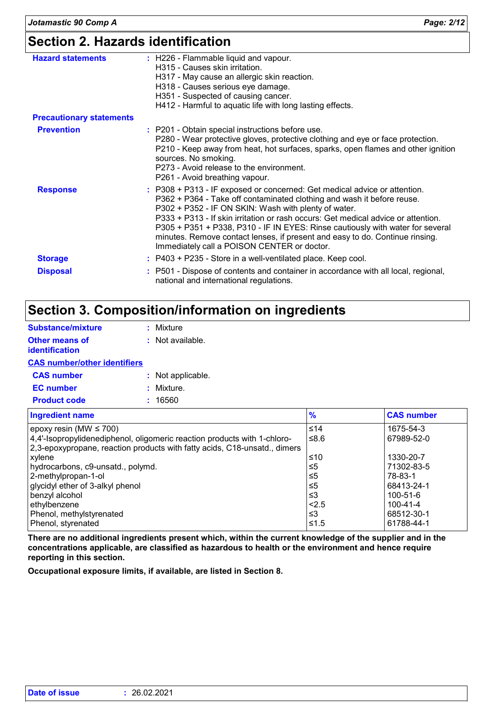# **Section 2. Hazards identification**

| <b>Hazard statements</b>        | : H226 - Flammable liquid and vapour.<br>H315 - Causes skin irritation.<br>H317 - May cause an allergic skin reaction.<br>H318 - Causes serious eye damage.<br>H351 - Suspected of causing cancer.<br>H412 - Harmful to aquatic life with long lasting effects.                                                                                                                                                                                                                                                   |
|---------------------------------|-------------------------------------------------------------------------------------------------------------------------------------------------------------------------------------------------------------------------------------------------------------------------------------------------------------------------------------------------------------------------------------------------------------------------------------------------------------------------------------------------------------------|
| <b>Precautionary statements</b> |                                                                                                                                                                                                                                                                                                                                                                                                                                                                                                                   |
| <b>Prevention</b>               | : P201 - Obtain special instructions before use.<br>P280 - Wear protective gloves, protective clothing and eye or face protection.<br>P210 - Keep away from heat, hot surfaces, sparks, open flames and other ignition<br>sources. No smoking.<br>P273 - Avoid release to the environment.<br>P261 - Avoid breathing vapour.                                                                                                                                                                                      |
| <b>Response</b>                 | : P308 + P313 - IF exposed or concerned: Get medical advice or attention.<br>P362 + P364 - Take off contaminated clothing and wash it before reuse.<br>P302 + P352 - IF ON SKIN: Wash with plenty of water.<br>P333 + P313 - If skin irritation or rash occurs: Get medical advice or attention.<br>P305 + P351 + P338, P310 - IF IN EYES: Rinse cautiously with water for several<br>minutes. Remove contact lenses, if present and easy to do. Continue rinsing.<br>Immediately call a POISON CENTER or doctor. |
| <b>Storage</b>                  | : P403 + P235 - Store in a well-ventilated place. Keep cool.                                                                                                                                                                                                                                                                                                                                                                                                                                                      |
| <b>Disposal</b>                 | : P501 - Dispose of contents and container in accordance with all local, regional,<br>national and international regulations.                                                                                                                                                                                                                                                                                                                                                                                     |

# **Section 3. Composition/information on ingredients**

| <b>Substance/mixture</b>                                                                                                                           | : Mixture          |
|----------------------------------------------------------------------------------------------------------------------------------------------------|--------------------|
| Other means of<br>identification                                                                                                                   | $:$ Not available. |
| <b>CAS number/other identifiers</b>                                                                                                                |                    |
| <b>CAS number</b>                                                                                                                                  | : Not applicable.  |
| <b>EC</b> number                                                                                                                                   | : Mixture.         |
| <b>Product code</b>                                                                                                                                | : 16560            |
| <b>Ingredient name</b>                                                                                                                             |                    |
| epoxy resin (MW $\leq$ 700)<br>4,4'-Isopropylidenediphenol, oligomeric reaction produ<br>l 2.3-epox∨propane, reaction products with fatty acids. । |                    |

| epoxy resin (MW $\leq 700$ )                                              | ≤14  | 1675-54-3      |
|---------------------------------------------------------------------------|------|----------------|
| 4,4'-Isopropylidenediphenol, oligomeric reaction products with 1-chloro-  | 6.8≥ | 67989-52-0     |
| 2,3-epoxypropane, reaction products with fatty acids, C18-unsatd., dimers |      |                |
| xylene                                                                    | ≤10  | 1330-20-7      |
| hydrocarbons, c9-unsatd., polymd.                                         | ≤5   | 71302-83-5     |
| 2-methylpropan-1-ol                                                       | ≤5   | 78-83-1        |
| glycidyl ether of 3-alkyl phenol                                          | ≤5   | 68413-24-1     |
| benzyl alcohol                                                            | ו≥ ≥ | 100-51-6       |
| ethylbenzene                                                              | 2.5  | $100 - 41 - 4$ |
| Phenol, methylstyrenated                                                  | ≤3   | 68512-30-1     |
| Phenol, styrenated                                                        | ≤1.5 | 61788-44-1     |

**Ingredient name % CAS number**

**There are no additional ingredients present which, within the current knowledge of the supplier and in the concentrations applicable, are classified as hazardous to health or the environment and hence require reporting in this section.**

**Occupational exposure limits, if available, are listed in Section 8.**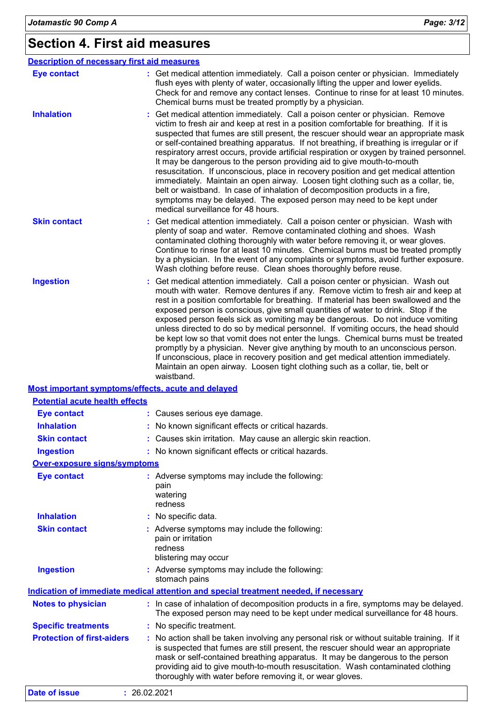# **Section 4. First aid measures**

| <b>Description of necessary first aid measures</b> |                                                                                                                                                                                                                                                                                                                                                                                                                                                                                                                                                                                                                                                                                                                                                                                                                                                                                                               |
|----------------------------------------------------|---------------------------------------------------------------------------------------------------------------------------------------------------------------------------------------------------------------------------------------------------------------------------------------------------------------------------------------------------------------------------------------------------------------------------------------------------------------------------------------------------------------------------------------------------------------------------------------------------------------------------------------------------------------------------------------------------------------------------------------------------------------------------------------------------------------------------------------------------------------------------------------------------------------|
| <b>Eye contact</b>                                 | : Get medical attention immediately. Call a poison center or physician. Immediately<br>flush eyes with plenty of water, occasionally lifting the upper and lower eyelids.<br>Check for and remove any contact lenses. Continue to rinse for at least 10 minutes.<br>Chemical burns must be treated promptly by a physician.                                                                                                                                                                                                                                                                                                                                                                                                                                                                                                                                                                                   |
| <b>Inhalation</b>                                  | Get medical attention immediately. Call a poison center or physician. Remove<br>victim to fresh air and keep at rest in a position comfortable for breathing. If it is<br>suspected that fumes are still present, the rescuer should wear an appropriate mask<br>or self-contained breathing apparatus. If not breathing, if breathing is irregular or if<br>respiratory arrest occurs, provide artificial respiration or oxygen by trained personnel.<br>It may be dangerous to the person providing aid to give mouth-to-mouth<br>resuscitation. If unconscious, place in recovery position and get medical attention<br>immediately. Maintain an open airway. Loosen tight clothing such as a collar, tie,<br>belt or waistband. In case of inhalation of decomposition products in a fire,<br>symptoms may be delayed. The exposed person may need to be kept under<br>medical surveillance for 48 hours. |
| <b>Skin contact</b>                                | Get medical attention immediately. Call a poison center or physician. Wash with<br>plenty of soap and water. Remove contaminated clothing and shoes. Wash<br>contaminated clothing thoroughly with water before removing it, or wear gloves.<br>Continue to rinse for at least 10 minutes. Chemical burns must be treated promptly<br>by a physician. In the event of any complaints or symptoms, avoid further exposure.<br>Wash clothing before reuse. Clean shoes thoroughly before reuse.                                                                                                                                                                                                                                                                                                                                                                                                                 |
| <b>Ingestion</b>                                   | Get medical attention immediately. Call a poison center or physician. Wash out<br>mouth with water. Remove dentures if any. Remove victim to fresh air and keep at<br>rest in a position comfortable for breathing. If material has been swallowed and the<br>exposed person is conscious, give small quantities of water to drink. Stop if the<br>exposed person feels sick as vomiting may be dangerous. Do not induce vomiting<br>unless directed to do so by medical personnel. If vomiting occurs, the head should<br>be kept low so that vomit does not enter the lungs. Chemical burns must be treated<br>promptly by a physician. Never give anything by mouth to an unconscious person.<br>If unconscious, place in recovery position and get medical attention immediately.<br>Maintain an open airway. Loosen tight clothing such as a collar, tie, belt or<br>waistband.                          |
| Most important symptoms/effects, acute and delayed |                                                                                                                                                                                                                                                                                                                                                                                                                                                                                                                                                                                                                                                                                                                                                                                                                                                                                                               |
| <b>Potential acute health effects</b>              |                                                                                                                                                                                                                                                                                                                                                                                                                                                                                                                                                                                                                                                                                                                                                                                                                                                                                                               |
| <b>Eye contact</b>                                 | : Causes serious eye damage.                                                                                                                                                                                                                                                                                                                                                                                                                                                                                                                                                                                                                                                                                                                                                                                                                                                                                  |
| <b>Inhalation</b>                                  | : No known significant effects or critical hazards.                                                                                                                                                                                                                                                                                                                                                                                                                                                                                                                                                                                                                                                                                                                                                                                                                                                           |
| <b>Skin contact</b>                                | : Causes skin irritation. May cause an allergic skin reaction.                                                                                                                                                                                                                                                                                                                                                                                                                                                                                                                                                                                                                                                                                                                                                                                                                                                |
| <b>Ingestion</b>                                   | : No known significant effects or critical hazards.                                                                                                                                                                                                                                                                                                                                                                                                                                                                                                                                                                                                                                                                                                                                                                                                                                                           |
| <b>Over-exposure signs/symptoms</b>                |                                                                                                                                                                                                                                                                                                                                                                                                                                                                                                                                                                                                                                                                                                                                                                                                                                                                                                               |
| <b>Eye contact</b>                                 | : Adverse symptoms may include the following:<br>pain<br>watering<br>redness                                                                                                                                                                                                                                                                                                                                                                                                                                                                                                                                                                                                                                                                                                                                                                                                                                  |
| <b>Inhalation</b>                                  | : No specific data.                                                                                                                                                                                                                                                                                                                                                                                                                                                                                                                                                                                                                                                                                                                                                                                                                                                                                           |
| <b>Skin contact</b>                                | : Adverse symptoms may include the following:<br>pain or irritation<br>redness<br>blistering may occur                                                                                                                                                                                                                                                                                                                                                                                                                                                                                                                                                                                                                                                                                                                                                                                                        |
| <b>Ingestion</b>                                   | : Adverse symptoms may include the following:<br>stomach pains                                                                                                                                                                                                                                                                                                                                                                                                                                                                                                                                                                                                                                                                                                                                                                                                                                                |
|                                                    | <b>Indication of immediate medical attention and special treatment needed, if necessary</b>                                                                                                                                                                                                                                                                                                                                                                                                                                                                                                                                                                                                                                                                                                                                                                                                                   |
| <b>Notes to physician</b>                          | : In case of inhalation of decomposition products in a fire, symptoms may be delayed.<br>The exposed person may need to be kept under medical surveillance for 48 hours.                                                                                                                                                                                                                                                                                                                                                                                                                                                                                                                                                                                                                                                                                                                                      |
| <b>Specific treatments</b>                         | : No specific treatment.                                                                                                                                                                                                                                                                                                                                                                                                                                                                                                                                                                                                                                                                                                                                                                                                                                                                                      |
| <b>Protection of first-aiders</b>                  | : No action shall be taken involving any personal risk or without suitable training. If it<br>is suspected that fumes are still present, the rescuer should wear an appropriate<br>mask or self-contained breathing apparatus. It may be dangerous to the person<br>providing aid to give mouth-to-mouth resuscitation. Wash contaminated clothing                                                                                                                                                                                                                                                                                                                                                                                                                                                                                                                                                            |

thoroughly with water before removing it, or wear gloves.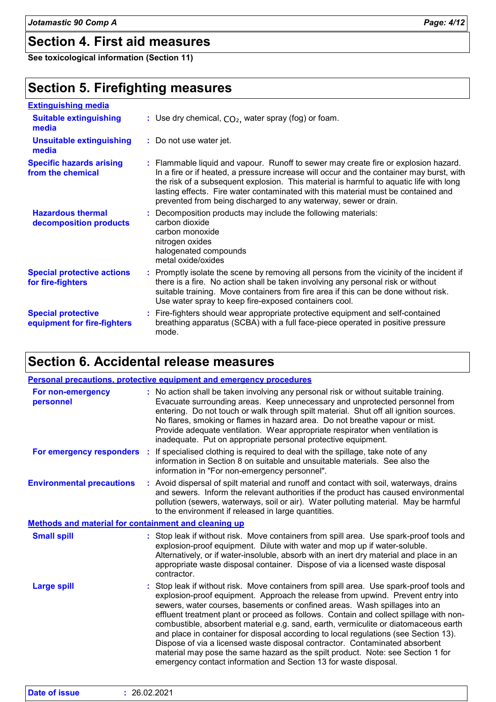### **Section 4. First aid measures**

**See toxicological information (Section 11)**

### **Section 5. Firefighting measures**

| <b>Extinguishing media</b>                               |                                                                                                                                                                                                                                                                                                                                                                                                                                    |
|----------------------------------------------------------|------------------------------------------------------------------------------------------------------------------------------------------------------------------------------------------------------------------------------------------------------------------------------------------------------------------------------------------------------------------------------------------------------------------------------------|
| <b>Suitable extinguishing</b><br>media                   | : Use dry chemical, $CO2$ , water spray (fog) or foam.                                                                                                                                                                                                                                                                                                                                                                             |
| <b>Unsuitable extinguishing</b><br>media                 | : Do not use water jet.                                                                                                                                                                                                                                                                                                                                                                                                            |
| <b>Specific hazards arising</b><br>from the chemical     | : Flammable liquid and vapour. Runoff to sewer may create fire or explosion hazard.<br>In a fire or if heated, a pressure increase will occur and the container may burst, with<br>the risk of a subsequent explosion. This material is harmful to aquatic life with long<br>lasting effects. Fire water contaminated with this material must be contained and<br>prevented from being discharged to any waterway, sewer or drain. |
| <b>Hazardous thermal</b><br>decomposition products       | : Decomposition products may include the following materials:<br>carbon dioxide<br>carbon monoxide<br>nitrogen oxides<br>halogenated compounds<br>metal oxide/oxides                                                                                                                                                                                                                                                               |
| <b>Special protective actions</b><br>for fire-fighters   | : Promptly isolate the scene by removing all persons from the vicinity of the incident if<br>there is a fire. No action shall be taken involving any personal risk or without<br>suitable training. Move containers from fire area if this can be done without risk.<br>Use water spray to keep fire-exposed containers cool.                                                                                                      |
| <b>Special protective</b><br>equipment for fire-fighters | : Fire-fighters should wear appropriate protective equipment and self-contained<br>breathing apparatus (SCBA) with a full face-piece operated in positive pressure<br>mode.                                                                                                                                                                                                                                                        |

### **Section 6. Accidental release measures**

|                                                             | Personal precautions, protective equipment and emergency procedures                                                                                                                                                                                                                                                                                                                                                                                                                                                                                                                                                                                                                                                                                                     |  |
|-------------------------------------------------------------|-------------------------------------------------------------------------------------------------------------------------------------------------------------------------------------------------------------------------------------------------------------------------------------------------------------------------------------------------------------------------------------------------------------------------------------------------------------------------------------------------------------------------------------------------------------------------------------------------------------------------------------------------------------------------------------------------------------------------------------------------------------------------|--|
| For non-emergency<br>personnel                              | : No action shall be taken involving any personal risk or without suitable training.<br>Evacuate surrounding areas. Keep unnecessary and unprotected personnel from<br>entering. Do not touch or walk through spilt material. Shut off all ignition sources.<br>No flares, smoking or flames in hazard area. Do not breathe vapour or mist.<br>Provide adequate ventilation. Wear appropriate respirator when ventilation is<br>inadequate. Put on appropriate personal protective equipment.                                                                                                                                                                                                                                                                           |  |
| For emergency responders :                                  | If specialised clothing is required to deal with the spillage, take note of any<br>information in Section 8 on suitable and unsuitable materials. See also the<br>information in "For non-emergency personnel".                                                                                                                                                                                                                                                                                                                                                                                                                                                                                                                                                         |  |
| <b>Environmental precautions</b>                            | : Avoid dispersal of spilt material and runoff and contact with soil, waterways, drains<br>and sewers. Inform the relevant authorities if the product has caused environmental<br>pollution (sewers, waterways, soil or air). Water polluting material. May be harmful<br>to the environment if released in large quantities.                                                                                                                                                                                                                                                                                                                                                                                                                                           |  |
| <b>Methods and material for containment and cleaning up</b> |                                                                                                                                                                                                                                                                                                                                                                                                                                                                                                                                                                                                                                                                                                                                                                         |  |
| <b>Small spill</b>                                          | : Stop leak if without risk. Move containers from spill area. Use spark-proof tools and<br>explosion-proof equipment. Dilute with water and mop up if water-soluble.<br>Alternatively, or if water-insoluble, absorb with an inert dry material and place in an<br>appropriate waste disposal container. Dispose of via a licensed waste disposal<br>contractor.                                                                                                                                                                                                                                                                                                                                                                                                        |  |
| <b>Large spill</b>                                          | : Stop leak if without risk. Move containers from spill area. Use spark-proof tools and<br>explosion-proof equipment. Approach the release from upwind. Prevent entry into<br>sewers, water courses, basements or confined areas. Wash spillages into an<br>effluent treatment plant or proceed as follows. Contain and collect spillage with non-<br>combustible, absorbent material e.g. sand, earth, vermiculite or diatomaceous earth<br>and place in container for disposal according to local regulations (see Section 13).<br>Dispose of via a licensed waste disposal contractor. Contaminated absorbent<br>material may pose the same hazard as the spilt product. Note: see Section 1 for<br>emergency contact information and Section 13 for waste disposal. |  |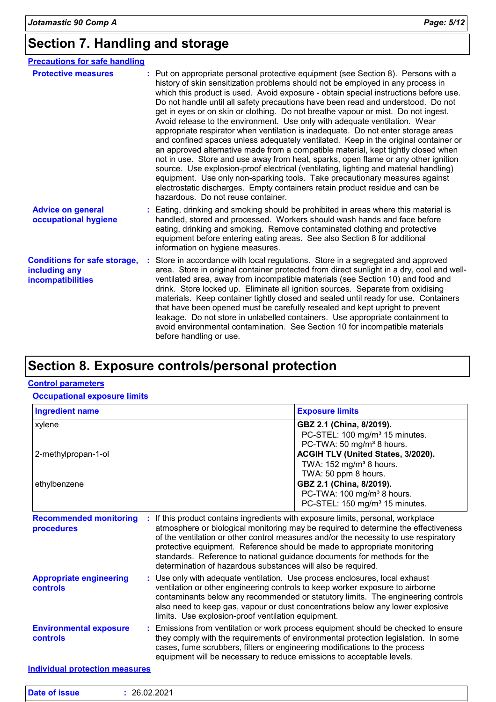# **Section 7. Handling and storage**

| <b>Precautions for safe handling</b>                                      |                                                                                                                                                                                                                                                                                                                                                                                                                                                                                                                                                                                                                                                                                                                                                                                                                                                                                                                                                                                                                                                                                                                                                                          |
|---------------------------------------------------------------------------|--------------------------------------------------------------------------------------------------------------------------------------------------------------------------------------------------------------------------------------------------------------------------------------------------------------------------------------------------------------------------------------------------------------------------------------------------------------------------------------------------------------------------------------------------------------------------------------------------------------------------------------------------------------------------------------------------------------------------------------------------------------------------------------------------------------------------------------------------------------------------------------------------------------------------------------------------------------------------------------------------------------------------------------------------------------------------------------------------------------------------------------------------------------------------|
| <b>Protective measures</b>                                                | : Put on appropriate personal protective equipment (see Section 8). Persons with a<br>history of skin sensitization problems should not be employed in any process in<br>which this product is used. Avoid exposure - obtain special instructions before use.<br>Do not handle until all safety precautions have been read and understood. Do not<br>get in eyes or on skin or clothing. Do not breathe vapour or mist. Do not ingest.<br>Avoid release to the environment. Use only with adequate ventilation. Wear<br>appropriate respirator when ventilation is inadequate. Do not enter storage areas<br>and confined spaces unless adequately ventilated. Keep in the original container or<br>an approved alternative made from a compatible material, kept tightly closed when<br>not in use. Store and use away from heat, sparks, open flame or any other ignition<br>source. Use explosion-proof electrical (ventilating, lighting and material handling)<br>equipment. Use only non-sparking tools. Take precautionary measures against<br>electrostatic discharges. Empty containers retain product residue and can be<br>hazardous. Do not reuse container. |
| <b>Advice on general</b><br>occupational hygiene                          | : Eating, drinking and smoking should be prohibited in areas where this material is<br>handled, stored and processed. Workers should wash hands and face before<br>eating, drinking and smoking. Remove contaminated clothing and protective<br>equipment before entering eating areas. See also Section 8 for additional<br>information on hygiene measures.                                                                                                                                                                                                                                                                                                                                                                                                                                                                                                                                                                                                                                                                                                                                                                                                            |
| <b>Conditions for safe storage,</b><br>including any<br>incompatibilities | Store in accordance with local regulations. Store in a segregated and approved<br>area. Store in original container protected from direct sunlight in a dry, cool and well-<br>ventilated area, away from incompatible materials (see Section 10) and food and<br>drink. Store locked up. Eliminate all ignition sources. Separate from oxidising<br>materials. Keep container tightly closed and sealed until ready for use. Containers<br>that have been opened must be carefully resealed and kept upright to prevent<br>leakage. Do not store in unlabelled containers. Use appropriate containment to<br>avoid environmental contamination. See Section 10 for incompatible materials<br>before handling or use.                                                                                                                                                                                                                                                                                                                                                                                                                                                    |

### **Section 8. Exposure controls/personal protection**

#### **Control parameters**

#### **Occupational exposure limits**

| <b>Ingredient name</b>                      |                                                                                                                                                                                                                                                                                                                                                                                                                                                                                     | <b>Exposure limits</b>                                                                                                                                                                                                                                                                                                        |  |
|---------------------------------------------|-------------------------------------------------------------------------------------------------------------------------------------------------------------------------------------------------------------------------------------------------------------------------------------------------------------------------------------------------------------------------------------------------------------------------------------------------------------------------------------|-------------------------------------------------------------------------------------------------------------------------------------------------------------------------------------------------------------------------------------------------------------------------------------------------------------------------------|--|
| xylene                                      |                                                                                                                                                                                                                                                                                                                                                                                                                                                                                     | GBZ 2.1 (China, 8/2019).<br>PC-STEL: 100 mg/m <sup>3</sup> 15 minutes.<br>PC-TWA: 50 mg/m <sup>3</sup> 8 hours.                                                                                                                                                                                                               |  |
| 2-methylpropan-1-ol                         |                                                                                                                                                                                                                                                                                                                                                                                                                                                                                     | ACGIH TLV (United States, 3/2020).<br>TWA: 152 mg/m <sup>3</sup> 8 hours.<br>TWA: 50 ppm 8 hours.                                                                                                                                                                                                                             |  |
| ethylbenzene                                |                                                                                                                                                                                                                                                                                                                                                                                                                                                                                     | GBZ 2.1 (China, 8/2019).<br>PC-TWA: 100 mg/m <sup>3</sup> 8 hours.<br>PC-STEL: 150 mg/m <sup>3</sup> 15 minutes.                                                                                                                                                                                                              |  |
| <b>Recommended monitoring</b><br>procedures | If this product contains ingredients with exposure limits, personal, workplace<br>atmosphere or biological monitoring may be required to determine the effectiveness<br>of the ventilation or other control measures and/or the necessity to use respiratory<br>protective equipment. Reference should be made to appropriate monitoring<br>standards. Reference to national guidance documents for methods for the<br>determination of hazardous substances will also be required. |                                                                                                                                                                                                                                                                                                                               |  |
| <b>Appropriate engineering</b><br>controls  | Use only with adequate ventilation. Use process enclosures, local exhaust<br>ř.<br>ventilation or other engineering controls to keep worker exposure to airborne<br>contaminants below any recommended or statutory limits. The engineering controls<br>also need to keep gas, vapour or dust concentrations below any lower explosive<br>limits. Use explosion-proof ventilation equipment.                                                                                        |                                                                                                                                                                                                                                                                                                                               |  |
| <b>Environmental exposure</b><br>controls   |                                                                                                                                                                                                                                                                                                                                                                                                                                                                                     | Emissions from ventilation or work process equipment should be checked to ensure<br>they comply with the requirements of environmental protection legislation. In some<br>cases, fume scrubbers, filters or engineering modifications to the process<br>equipment will be necessary to reduce emissions to acceptable levels. |  |

**Individual protection measures**

| <b>Date of issue</b> | 26.02.2021<br>Z0.02.2021 |  |  |
|----------------------|--------------------------|--|--|
|----------------------|--------------------------|--|--|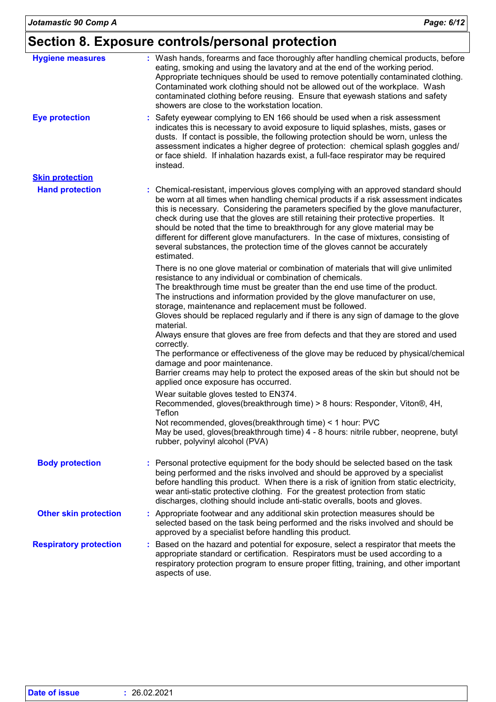| <b>Hygiene measures</b>       | : Wash hands, forearms and face thoroughly after handling chemical products, before<br>eating, smoking and using the lavatory and at the end of the working period.<br>Appropriate techniques should be used to remove potentially contaminated clothing.<br>Contaminated work clothing should not be allowed out of the workplace. Wash<br>contaminated clothing before reusing. Ensure that eyewash stations and safety<br>showers are close to the workstation location.                                                                                                                                               |
|-------------------------------|---------------------------------------------------------------------------------------------------------------------------------------------------------------------------------------------------------------------------------------------------------------------------------------------------------------------------------------------------------------------------------------------------------------------------------------------------------------------------------------------------------------------------------------------------------------------------------------------------------------------------|
| <b>Eye protection</b>         | Safety eyewear complying to EN 166 should be used when a risk assessment<br>indicates this is necessary to avoid exposure to liquid splashes, mists, gases or<br>dusts. If contact is possible, the following protection should be worn, unless the<br>assessment indicates a higher degree of protection: chemical splash goggles and/<br>or face shield. If inhalation hazards exist, a full-face respirator may be required<br>instead.                                                                                                                                                                                |
| <b>Skin protection</b>        |                                                                                                                                                                                                                                                                                                                                                                                                                                                                                                                                                                                                                           |
| <b>Hand protection</b>        | : Chemical-resistant, impervious gloves complying with an approved standard should<br>be worn at all times when handling chemical products if a risk assessment indicates<br>this is necessary. Considering the parameters specified by the glove manufacturer,<br>check during use that the gloves are still retaining their protective properties. It<br>should be noted that the time to breakthrough for any glove material may be<br>different for different glove manufacturers. In the case of mixtures, consisting of<br>several substances, the protection time of the gloves cannot be accurately<br>estimated. |
|                               | There is no one glove material or combination of materials that will give unlimited<br>resistance to any individual or combination of chemicals.<br>The breakthrough time must be greater than the end use time of the product.<br>The instructions and information provided by the glove manufacturer on use,<br>storage, maintenance and replacement must be followed.<br>Gloves should be replaced regularly and if there is any sign of damage to the glove<br>material.                                                                                                                                              |
|                               | Always ensure that gloves are free from defects and that they are stored and used<br>correctly.<br>The performance or effectiveness of the glove may be reduced by physical/chemical<br>damage and poor maintenance.<br>Barrier creams may help to protect the exposed areas of the skin but should not be<br>applied once exposure has occurred.                                                                                                                                                                                                                                                                         |
|                               | Wear suitable gloves tested to EN374.<br>Recommended, gloves(breakthrough time) > 8 hours: Responder, Viton®, 4H,<br>Teflon                                                                                                                                                                                                                                                                                                                                                                                                                                                                                               |
|                               | Not recommended, gloves(breakthrough time) < 1 hour: PVC<br>May be used, gloves(breakthrough time) 4 - 8 hours: nitrile rubber, neoprene, butyl<br>rubber, polyvinyl alcohol (PVA)                                                                                                                                                                                                                                                                                                                                                                                                                                        |
| <b>Body protection</b>        | Personal protective equipment for the body should be selected based on the task<br>being performed and the risks involved and should be approved by a specialist<br>before handling this product. When there is a risk of ignition from static electricity,<br>wear anti-static protective clothing. For the greatest protection from static<br>discharges, clothing should include anti-static overalls, boots and gloves.                                                                                                                                                                                               |
| <b>Other skin protection</b>  | : Appropriate footwear and any additional skin protection measures should be<br>selected based on the task being performed and the risks involved and should be<br>approved by a specialist before handling this product.                                                                                                                                                                                                                                                                                                                                                                                                 |
| <b>Respiratory protection</b> | Based on the hazard and potential for exposure, select a respirator that meets the<br>appropriate standard or certification. Respirators must be used according to a<br>respiratory protection program to ensure proper fitting, training, and other important<br>aspects of use.                                                                                                                                                                                                                                                                                                                                         |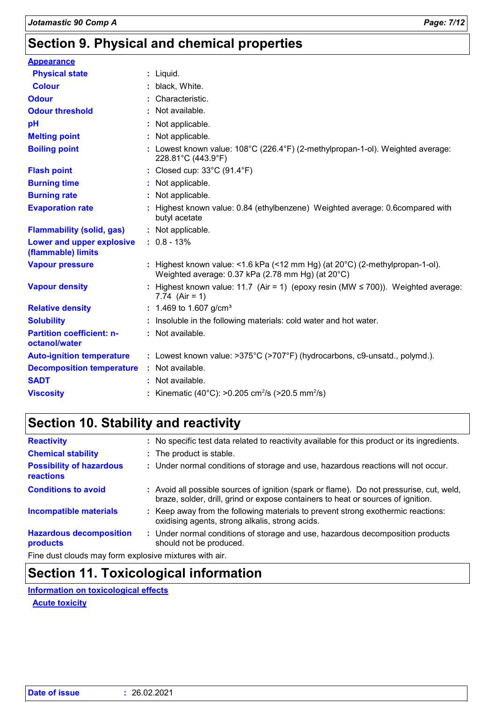# **Section 9. Physical and chemical properties**

| <b>Appearance</b>                                 |                                                                                                                                   |
|---------------------------------------------------|-----------------------------------------------------------------------------------------------------------------------------------|
| <b>Physical state</b>                             | $:$ Liquid.                                                                                                                       |
| <b>Colour</b>                                     | black, White.                                                                                                                     |
| <b>Odour</b>                                      | Characteristic.                                                                                                                   |
| <b>Odour threshold</b>                            | Not available.                                                                                                                    |
| pH                                                | Not applicable.                                                                                                                   |
| <b>Melting point</b>                              | Not applicable.                                                                                                                   |
| <b>Boiling point</b>                              | : Lowest known value: $108^{\circ}$ C (226.4°F) (2-methylpropan-1-ol). Weighted average:<br>228.81°C (443.9°F)                    |
| <b>Flash point</b>                                | : Closed cup: 33°C (91.4°F)                                                                                                       |
| <b>Burning time</b>                               | : Not applicable.                                                                                                                 |
| <b>Burning rate</b>                               | : Not applicable.                                                                                                                 |
| <b>Evaporation rate</b>                           | Highest known value: 0.84 (ethylbenzene) Weighted average: 0.6compared with<br>butyl acetate                                      |
| <b>Flammability (solid, gas)</b>                  | : Not applicable.                                                                                                                 |
| Lower and upper explosive<br>(flammable) limits   | $: 0.8 - 13%$                                                                                                                     |
| <b>Vapour pressure</b>                            | : Highest known value: <1.6 kPa (<12 mm Hg) (at 20°C) (2-methylpropan-1-ol).<br>Weighted average: 0.37 kPa (2.78 mm Hg) (at 20°C) |
| <b>Vapour density</b>                             | : Highest known value: 11.7 (Air = 1) (epoxy resin (MW $\leq$ 700)). Weighted average:<br>7.74 (Air = 1)                          |
| <b>Relative density</b>                           | : 1.469 to 1.607 g/cm <sup>3</sup>                                                                                                |
| <b>Solubility</b>                                 | Insoluble in the following materials: cold water and hot water.                                                                   |
| <b>Partition coefficient: n-</b><br>octanol/water | : Not available.                                                                                                                  |
| <b>Auto-ignition temperature</b>                  | : Lowest known value: >375°C (>707°F) (hydrocarbons, c9-unsatd., polymd.).                                                        |
| <b>Decomposition temperature</b>                  | : Not available.                                                                                                                  |
| <b>SADT</b>                                       | : Not available.                                                                                                                  |
| <b>Viscosity</b>                                  | : Kinematic (40°C): >0.205 cm <sup>2</sup> /s (>20.5 mm <sup>2</sup> /s)                                                          |

# **Section 10. Stability and reactivity**

| <b>Reactivity</b>                            | : No specific test data related to reactivity available for this product or its ingredients.                                                                                 |
|----------------------------------------------|------------------------------------------------------------------------------------------------------------------------------------------------------------------------------|
| <b>Chemical stability</b>                    | : The product is stable.                                                                                                                                                     |
| <b>Possibility of hazardous</b><br>reactions | : Under normal conditions of storage and use, hazardous reactions will not occur.                                                                                            |
| <b>Conditions to avoid</b>                   | : Avoid all possible sources of ignition (spark or flame). Do not pressurise, cut, weld,<br>braze, solder, drill, grind or expose containers to heat or sources of ignition. |
| <b>Incompatible materials</b>                | : Keep away from the following materials to prevent strong exothermic reactions:<br>oxidising agents, strong alkalis, strong acids.                                          |
| <b>Hazardous decomposition</b><br>products   | : Under normal conditions of storage and use, hazardous decomposition products<br>should not be produced.                                                                    |
|                                              |                                                                                                                                                                              |

Fine dust clouds may form explosive mixtures with air.

### **Section 11. Toxicological information**

**Information on toxicological effects**

**Acute toxicity**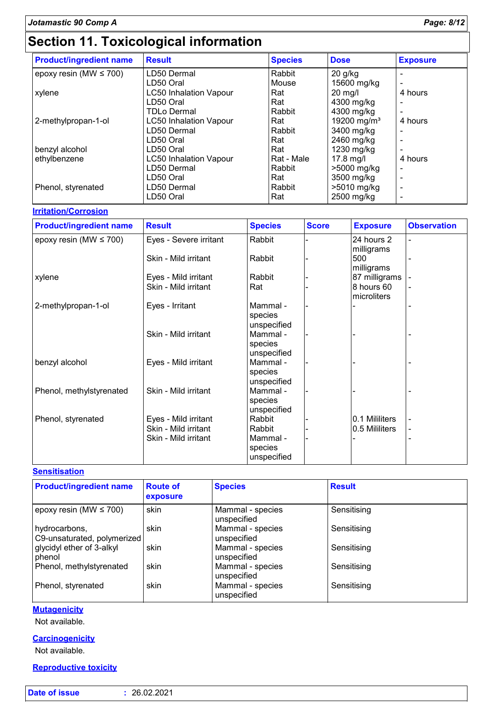# **Section 11. Toxicological information**

| <b>Product/ingredient name</b> | <b>Result</b>                 | <b>Species</b> | <b>Dose</b>             | <b>Exposure</b> |
|--------------------------------|-------------------------------|----------------|-------------------------|-----------------|
| epoxy resin (MW $\leq$ 700)    | LD50 Dermal                   | Rabbit         | $20$ g/kg               |                 |
|                                | LD50 Oral                     | Mouse          | 15600 mg/kg             |                 |
| xylene                         | <b>LC50 Inhalation Vapour</b> | Rat            | $20$ mg/l               | 4 hours         |
|                                | LD50 Oral                     | Rat            | 4300 mg/kg              |                 |
|                                | <b>TDLo Dermal</b>            | Rabbit         | 4300 mg/kg              |                 |
| 2-methylpropan-1-ol            | <b>LC50 Inhalation Vapour</b> | Rat            | 19200 mg/m <sup>3</sup> | 4 hours         |
|                                | LD50 Dermal                   | Rabbit         | 3400 mg/kg              |                 |
|                                | LD50 Oral                     | Rat            | 2460 mg/kg              |                 |
| benzyl alcohol                 | LD50 Oral                     | Rat            | 1230 mg/kg              |                 |
| ethylbenzene                   | <b>LC50 Inhalation Vapour</b> | Rat - Male     | $17.8$ mg/l             | 4 hours         |
|                                | LD50 Dermal                   | Rabbit         | >5000 mg/kg             |                 |
|                                | LD50 Oral                     | Rat            | 3500 mg/kg              |                 |
| Phenol, styrenated             | LD50 Dermal                   | Rabbit         | >5010 mg/kg             |                 |
|                                | LD50 Oral                     | Rat            | 2500 mg/kg              |                 |

#### **Irritation/Corrosion**

| <b>Product/ingredient name</b> | <b>Result</b>          | <b>Species</b>                     | <b>Score</b> | <b>Exposure</b>           | <b>Observation</b> |
|--------------------------------|------------------------|------------------------------------|--------------|---------------------------|--------------------|
| epoxy resin (MW $\leq$ 700)    | Eyes - Severe irritant | Rabbit                             |              | 24 hours 2<br>milligrams  |                    |
|                                | Skin - Mild irritant   | Rabbit                             |              | 500<br>milligrams         |                    |
| xylene                         | Eyes - Mild irritant   | Rabbit                             |              | 87 milligrams             |                    |
|                                | Skin - Mild irritant   | Rat                                |              | 8 hours 60<br>microliters |                    |
| 2-methylpropan-1-ol            | Eyes - Irritant        | Mammal -<br>species<br>unspecified |              |                           |                    |
|                                | Skin - Mild irritant   | Mammal -<br>species<br>unspecified |              |                           |                    |
| benzyl alcohol                 | Eyes - Mild irritant   | Mammal -<br>species<br>unspecified |              |                           |                    |
| Phenol, methylstyrenated       | Skin - Mild irritant   | Mammal -<br>species<br>unspecified |              |                           |                    |
| Phenol, styrenated             | Eyes - Mild irritant   | Rabbit                             |              | 0.1 Mililiters            |                    |
|                                | Skin - Mild irritant   | Rabbit                             |              | 0.5 Mililiters            | $\blacksquare$     |
|                                | Skin - Mild irritant   | Mammal -<br>species<br>unspecified |              |                           |                    |

#### **Sensitisation**

| <b>Product/ingredient name</b>               | <b>Route of</b><br>exposure | <b>Species</b>                  | <b>Result</b> |
|----------------------------------------------|-----------------------------|---------------------------------|---------------|
| epoxy resin (MW $\leq$ 700)                  | skin                        | Mammal - species<br>unspecified | Sensitising   |
| hydrocarbons,<br>C9-unsaturated, polymerized | skin                        | Mammal - species<br>unspecified | Sensitising   |
| glycidyl ether of 3-alkyl<br>phenol          | skin                        | Mammal - species<br>unspecified | Sensitising   |
| Phenol, methylstyrenated                     | skin                        | Mammal - species<br>unspecified | Sensitising   |
| Phenol, styrenated                           | skin                        | Mammal - species<br>unspecified | Sensitising   |

#### **Mutagenicity**

Not available.

#### **Carcinogenicity**

Not available.

#### **Reproductive toxicity**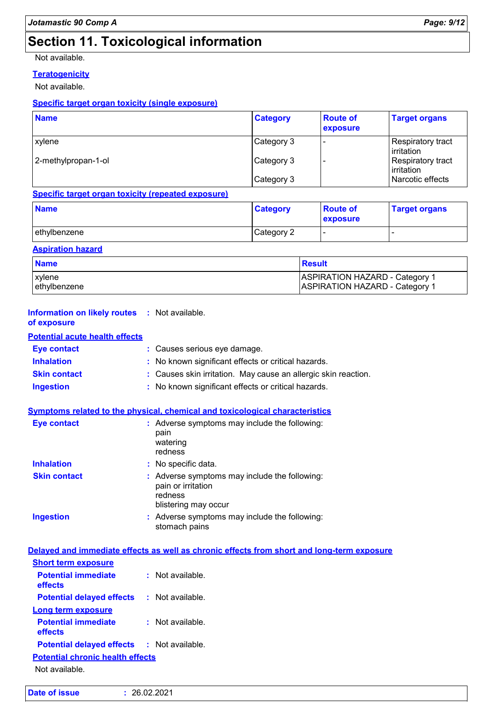# **Section 11. Toxicological information**

Not available.

### **Teratogenicity**

Not available.

#### **Specific target organ toxicity (single exposure)**

| <b>Name</b>         | <b>Category</b> | <b>Route of</b><br>exposure | <b>Target organs</b>                   |
|---------------------|-----------------|-----------------------------|----------------------------------------|
| xylene              | Category 3      |                             | <b>Respiratory tract</b><br>irritation |
| 2-methylpropan-1-ol | Category 3      |                             | Respiratory tract<br>irritation        |
|                     | Category 3      |                             | Narcotic effects                       |

#### **Specific target organ toxicity (repeated exposure)**

| <b>Name</b>  | <b>Category</b> | <b>Route of</b><br><b>exposure</b> | <b>Target organs</b> |
|--------------|-----------------|------------------------------------|----------------------|
| ethylbenzene | Category 2      | . .                                |                      |

#### **Aspiration hazard**

| <b>Name</b><br><b>Result</b> |                                       |
|------------------------------|---------------------------------------|
| <b>xylene</b>                | ASPIRATION HAZARD - Category 1        |
| lethvlbenzene                | <b>ASPIRATION HAZARD - Category 1</b> |

| <b>Information on likely routes : Not available.</b><br>of exposure |                                                                                                      |
|---------------------------------------------------------------------|------------------------------------------------------------------------------------------------------|
| <b>Potential acute health effects</b>                               |                                                                                                      |
| <b>Eye contact</b>                                                  | : Causes serious eye damage.                                                                         |
| <b>Inhalation</b>                                                   | No known significant effects or critical hazards.                                                    |
| <b>Skin contact</b>                                                 | : Causes skin irritation. May cause an allergic skin reaction.                                       |
| <b>Ingestion</b>                                                    | : No known significant effects or critical hazards.                                                  |
|                                                                     | Symptoms related to the physical, chemical and toxicological characteristics                         |
| <b>Eye contact</b>                                                  | : Adverse symptoms may include the following:<br>pain<br>watering<br>redness                         |
| <b>Inhalation</b>                                                   | : No specific data.                                                                                  |
| <b>Skin contact</b>                                                 | Adverse symptoms may include the following:<br>pain or irritation<br>redness<br>blistering may occur |
| <b>Ingestion</b>                                                    | : Adverse symptoms may include the following:<br>stomach pains                                       |
|                                                                     | Delayed and immediate effects as well as chronic effects from short and long-term exposure           |
| <b>Short term exposure</b>                                          |                                                                                                      |
| <b>Potential immediate</b><br>effects                               | : Not available.                                                                                     |
| <b>Potential delayed effects</b>                                    | : Not available.                                                                                     |
| <b>Long term exposure</b>                                           |                                                                                                      |
| <b>Potential immediate</b><br>effects                               | : Not available.                                                                                     |
| <b>Potential delayed effects</b>                                    | $:$ Not available.                                                                                   |
| <b>Potential chronic health effects</b>                             |                                                                                                      |
| Not available.                                                      |                                                                                                      |
|                                                                     |                                                                                                      |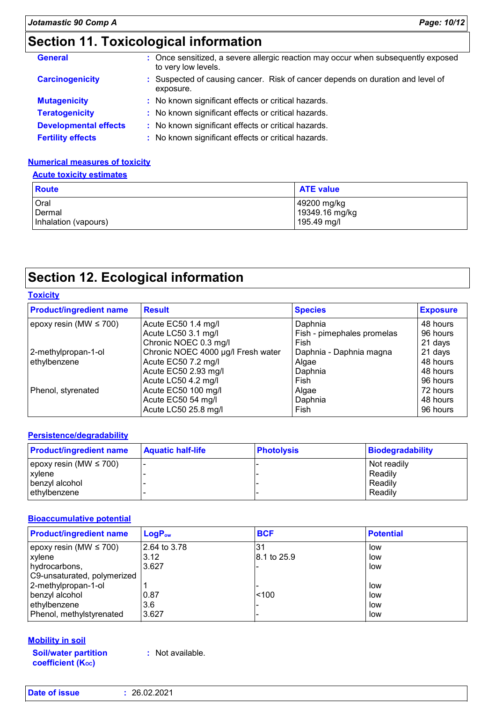# **Section 11. Toxicological information**

| <b>General</b>               | : Once sensitized, a severe allergic reaction may occur when subsequently exposed<br>to very low levels. |
|------------------------------|----------------------------------------------------------------------------------------------------------|
| <b>Carcinogenicity</b>       | : Suspected of causing cancer. Risk of cancer depends on duration and level of<br>exposure.              |
| <b>Mutagenicity</b>          | : No known significant effects or critical hazards.                                                      |
| <b>Teratogenicity</b>        | : No known significant effects or critical hazards.                                                      |
| <b>Developmental effects</b> | : No known significant effects or critical hazards.                                                      |
| <b>Fertility effects</b>     | : No known significant effects or critical hazards.                                                      |

#### **Numerical measures of toxicity**

#### **Acute toxicity estimates**

| <b>Route</b>         | <b>ATE value</b> |
|----------------------|------------------|
| Oral                 | 49200 mg/kg      |
| Dermal               | 19349.16 mg/kg   |
| Inhalation (vapours) | 195.49 mg/l      |

# **Section 12. Ecological information**

| <b>Toxicity</b>                |                                    |                            |                 |
|--------------------------------|------------------------------------|----------------------------|-----------------|
| <b>Product/ingredient name</b> | <b>Result</b>                      | <b>Species</b>             | <b>Exposure</b> |
| epoxy resin (MW $\leq 700$ )   | Acute EC50 1.4 mg/l                | Daphnia                    | 48 hours        |
|                                | Acute LC50 3.1 mg/l                | Fish - pimephales promelas | 96 hours        |
|                                | Chronic NOEC 0.3 mg/l              | Fish                       | 21 days         |
| 2-methylpropan-1-ol            | Chronic NOEC 4000 µg/l Fresh water | Daphnia - Daphnia magna    | 21 days         |
| ethylbenzene                   | Acute EC50 7.2 mg/l                | Algae                      | 48 hours        |
|                                | Acute EC50 2.93 mg/l               | Daphnia                    | 48 hours        |
|                                | Acute LC50 4.2 mg/l                | Fish                       | 96 hours        |
| Phenol, styrenated             | Acute EC50 100 mg/l                | Algae                      | 72 hours        |
|                                | Acute EC50 54 mg/l                 | Daphnia                    | 48 hours        |
|                                | Acute LC50 25.8 mg/l               | Fish                       | 96 hours        |
|                                |                                    |                            |                 |

#### **Persistence/degradability**

| <b>Product/ingredient name</b> | <b>Aquatic half-life</b> | <b>Photolysis</b> | Biodegradability |
|--------------------------------|--------------------------|-------------------|------------------|
| epoxy resin (MW $\leq$ 700)    |                          |                   | Not readily      |
| xvlene                         |                          |                   | Readily          |
| benzvl alcohol                 |                          |                   | Readily          |
| ethylbenzene                   |                          |                   | Readily          |

#### **Bioaccumulative potential**

| <b>Product/ingredient name</b> | $LogP_{ow}$  | <b>BCF</b>  | <b>Potential</b> |
|--------------------------------|--------------|-------------|------------------|
| epoxy resin (MW $\leq$ 700)    | 2.64 to 3.78 | 31          | low              |
| xylene                         | 3.12         | 8.1 to 25.9 | low              |
| hydrocarbons,                  | 3.627        |             | low              |
| C9-unsaturated, polymerized    |              |             |                  |
| 2-methylpropan-1-ol            |              |             | low              |
| benzyl alcohol                 | 10.87        | < 100       | low              |
| ethylbenzene                   | 3.6          |             | low              |
| Phenol, methylstyrenated       | 3.627        |             | low              |

#### **Mobility in soil**

**Soil/water partition coefficient (KOC)**

**:** Not available.

| <b>Date of issue</b> | : 26.02.2021 |
|----------------------|--------------|
|----------------------|--------------|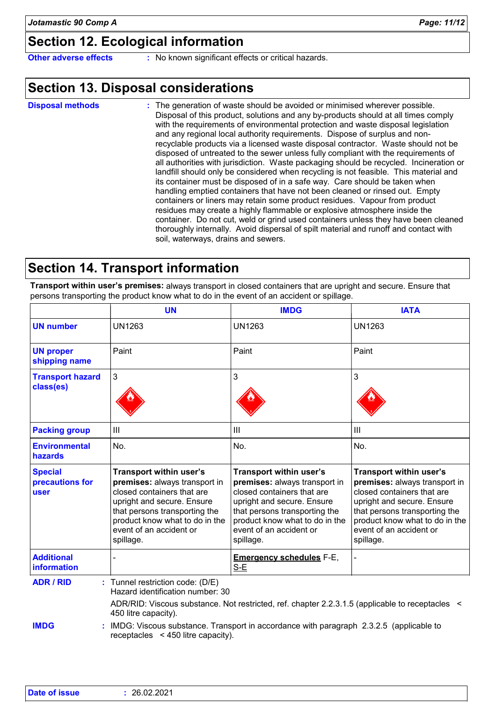# **Section 12. Ecological information**

**Other adverse effects** : No known significant effects or critical hazards.

### **Section 13. Disposal considerations**

The generation of waste should be avoided or minimised wherever possible. Disposal of this product, solutions and any by-products should at all times comply with the requirements of environmental protection and waste disposal legislation and any regional local authority requirements. Dispose of surplus and nonrecyclable products via a licensed waste disposal contractor. Waste should not be disposed of untreated to the sewer unless fully compliant with the requirements of all authorities with jurisdiction. Waste packaging should be recycled. Incineration or landfill should only be considered when recycling is not feasible. This material and its container must be disposed of in a safe way. Care should be taken when handling emptied containers that have not been cleaned or rinsed out. Empty containers or liners may retain some product residues. Vapour from product residues may create a highly flammable or explosive atmosphere inside the container. Do not cut, weld or grind used containers unless they have been cleaned thoroughly internally. Avoid dispersal of spilt material and runoff and contact with soil, waterways, drains and sewers. **Disposal methods :**

### **Section 14. Transport information**

**Transport within user's premises:** always transport in closed containers that are upright and secure. Ensure that persons transporting the product know what to do in the event of an accident or spillage.

|                                           | <b>UN</b>                                                                                                                                                                                                                       | <b>IMDG</b>                                                                                                                                                                                                                     | <b>IATA</b>                                                                                                                                                                                                                            |
|-------------------------------------------|---------------------------------------------------------------------------------------------------------------------------------------------------------------------------------------------------------------------------------|---------------------------------------------------------------------------------------------------------------------------------------------------------------------------------------------------------------------------------|----------------------------------------------------------------------------------------------------------------------------------------------------------------------------------------------------------------------------------------|
| <b>UN number</b>                          | <b>UN1263</b>                                                                                                                                                                                                                   | <b>UN1263</b>                                                                                                                                                                                                                   | <b>UN1263</b>                                                                                                                                                                                                                          |
| <b>UN proper</b><br>shipping name         | Paint                                                                                                                                                                                                                           | Paint                                                                                                                                                                                                                           | Paint                                                                                                                                                                                                                                  |
| <b>Transport hazard</b><br>class(es)      | 3                                                                                                                                                                                                                               | 3                                                                                                                                                                                                                               | 3                                                                                                                                                                                                                                      |
| <b>Packing group</b>                      | III                                                                                                                                                                                                                             | III                                                                                                                                                                                                                             | III                                                                                                                                                                                                                                    |
| <b>Environmental</b><br>hazards           | No.                                                                                                                                                                                                                             | No.                                                                                                                                                                                                                             | No.                                                                                                                                                                                                                                    |
| <b>Special</b><br>precautions for<br>user | Transport within user's<br>premises: always transport in<br>closed containers that are<br>upright and secure. Ensure<br>that persons transporting the<br>product know what to do in the<br>event of an accident or<br>spillage. | Transport within user's<br>premises: always transport in<br>closed containers that are<br>upright and secure. Ensure<br>that persons transporting the<br>product know what to do in the<br>event of an accident or<br>spillage. | <b>Transport within user's</b><br>premises: always transport in<br>closed containers that are<br>upright and secure. Ensure<br>that persons transporting the<br>product know what to do in the<br>event of an accident or<br>spillage. |
| <b>Additional</b><br><b>information</b>   |                                                                                                                                                                                                                                 | <b>Emergency schedules F-E,</b><br>S-E                                                                                                                                                                                          | L,                                                                                                                                                                                                                                     |
| <b>ADR / RID</b>                          | : Tunnel restriction code: (D/E)<br>Hazard identification number: 30                                                                                                                                                            | ADR/RID: Viscous substance. Not restricted, ref. chapter 2.2.3.1.5 (applicable to receptacles <                                                                                                                                 |                                                                                                                                                                                                                                        |
| <b>IMDG</b>                               | 450 litre capacity).<br>IMDG: Viscous substance. Transport in accordance with paragraph 2.3.2.5 (applicable to<br>receptacles $\leq 450$ litre capacity).                                                                       |                                                                                                                                                                                                                                 |                                                                                                                                                                                                                                        |